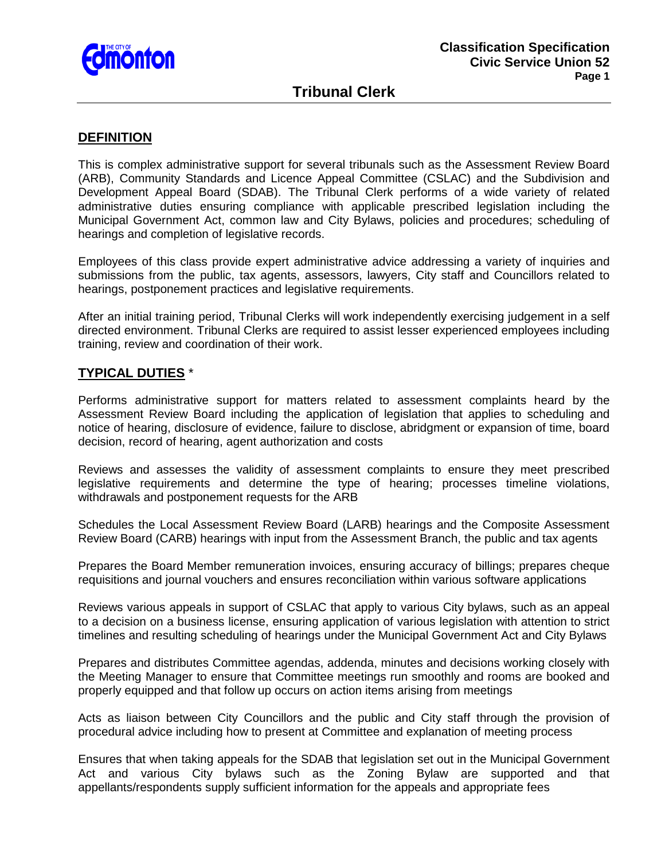

# **Tribunal Clerk**

### **DEFINITION**

This is complex administrative support for several tribunals such as the Assessment Review Board (ARB), Community Standards and Licence Appeal Committee (CSLAC) and the Subdivision and Development Appeal Board (SDAB). The Tribunal Clerk performs of a wide variety of related administrative duties ensuring compliance with applicable prescribed legislation including the Municipal Government Act, common law and City Bylaws, policies and procedures; scheduling of hearings and completion of legislative records.

Employees of this class provide expert administrative advice addressing a variety of inquiries and submissions from the public, tax agents, assessors, lawyers, City staff and Councillors related to hearings, postponement practices and legislative requirements.

After an initial training period, Tribunal Clerks will work independently exercising judgement in a self directed environment. Tribunal Clerks are required to assist lesser experienced employees including training, review and coordination of their work.

#### **TYPICAL DUTIES** \*

Performs administrative support for matters related to assessment complaints heard by the Assessment Review Board including the application of legislation that applies to scheduling and notice of hearing, disclosure of evidence, failure to disclose, abridgment or expansion of time, board decision, record of hearing, agent authorization and costs

Reviews and assesses the validity of assessment complaints to ensure they meet prescribed legislative requirements and determine the type of hearing; processes timeline violations, withdrawals and postponement requests for the ARB

Schedules the Local Assessment Review Board (LARB) hearings and the Composite Assessment Review Board (CARB) hearings with input from the Assessment Branch, the public and tax agents

Prepares the Board Member remuneration invoices, ensuring accuracy of billings; prepares cheque requisitions and journal vouchers and ensures reconciliation within various software applications

Reviews various appeals in support of CSLAC that apply to various City bylaws, such as an appeal to a decision on a business license, ensuring application of various legislation with attention to strict timelines and resulting scheduling of hearings under the Municipal Government Act and City Bylaws

Prepares and distributes Committee agendas, addenda, minutes and decisions working closely with the Meeting Manager to ensure that Committee meetings run smoothly and rooms are booked and properly equipped and that follow up occurs on action items arising from meetings

Acts as liaison between City Councillors and the public and City staff through the provision of procedural advice including how to present at Committee and explanation of meeting process

Ensures that when taking appeals for the SDAB that legislation set out in the Municipal Government Act and various City bylaws such as the Zoning Bylaw are supported and that appellants/respondents supply sufficient information for the appeals and appropriate fees